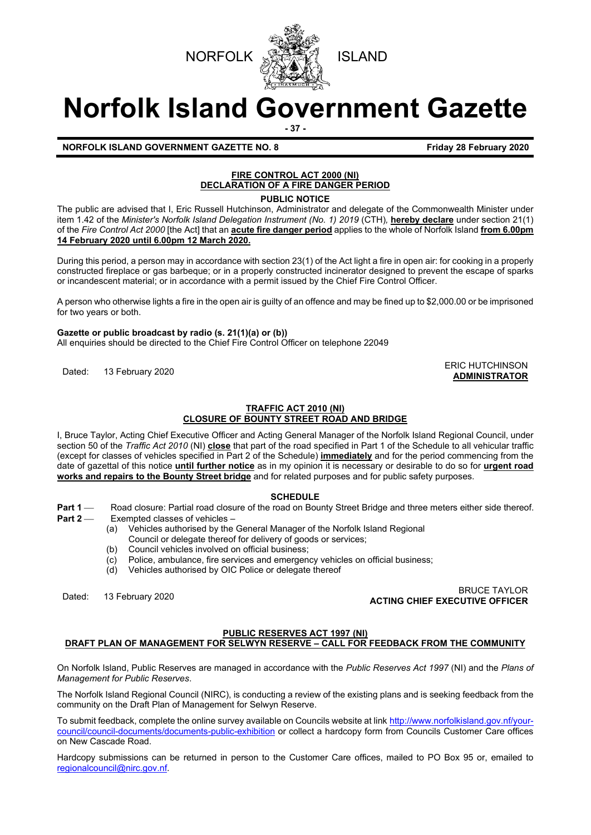



# **Norfolk Island Government Gazette**

**- 37 -**

**ADMINISTRATOR**

# **NORFOLK ISLAND GOVERNMENT GAZETTE NO. 8 Friday 28 February 2020**

# **FIRE CONTROL ACT 2000 (NI) DECLARATION OF A FIRE DANGER PERIOD**

**PUBLIC NOTICE**

The public are advised that I, Eric Russell Hutchinson, Administrator and delegate of the Commonwealth Minister under item 1.42 of the *Minister's Norfolk Island Delegation Instrument (No. 1) 2019* (CTH)*,* **hereby declare** under section 21(1) of the *Fire Control Act 2000* [the Act] that an **acute fire danger period** applies to the whole of Norfolk Island **from 6.00pm 14 February 2020 until 6.00pm 12 March 2020.**

During this period, a person may in accordance with section 23(1) of the Act light a fire in open air: for cooking in a properly constructed fireplace or gas barbeque; or in a properly constructed incinerator designed to prevent the escape of sparks or incandescent material; or in accordance with a permit issued by the Chief Fire Control Officer.

A person who otherwise lights a fire in the open air is guilty of an offence and may be fined up to \$2,000.00 or be imprisoned for two years or both.

#### **Gazette or public broadcast by radio (s. 21(1)(a) or (b))**

All enquiries should be directed to the Chief Fire Control Officer on telephone 22049

ERIC HUTCHINSON<br>
Dated: 13 February 2020

# **TRAFFIC ACT 2010 (NI)**

## **CLOSURE OF BOUNTY STREET ROAD AND BRIDGE**

I, Bruce Taylor, Acting Chief Executive Officer and Acting General Manager of the Norfolk Island Regional Council, under section 50 of the *Traffic Act 2010* (NI) **close** that part of the road specified in Part 1 of the Schedule to all vehicular traffic (except for classes of vehicles specified in Part 2 of the Schedule) **immediately** and for the period commencing from the date of gazettal of this notice **until further notice** as in my opinion it is necessary or desirable to do so for **urgent road works and repairs to the Bounty Street bridge** and for related purposes and for public safety purposes.

#### **SCHEDULE**

- **Part 1** — Road closure: Partial road closure of the road on Bounty Street Bridge and three meters either side thereof.<br>Part 2 — Fxempted classes of vehicles
	- Exempted classes of vehicles -
		- (a) Vehicles authorised by the General Manager of the Norfolk Island Regional
		- Council or delegate thereof for delivery of goods or services;
		- (b) Council vehicles involved on official business;<br>(c) Police, ambulance, fire services and emergen
		- $\overline{c}$  Police, ambulance, fire services and emergency vehicles on official business;<br>(d) Vehicles authorised by OIC Police or delegate thereof
		- Vehicles authorised by OIC Police or delegate thereof

Dated: 13 February 2020 BRUCE TAYLOR **ACTING CHIEF EXECUTIVE OFFICER**

## **PUBLIC RESERVES ACT 1997 (NI)**

## **DRAFT PLAN OF MANAGEMENT FOR SELWYN RESERVE – CALL FOR FEEDBACK FROM THE COMMUNITY**

On Norfolk Island, Public Reserves are managed in accordance with the *Public Reserves Act 1997* (NI) and the *Plans of Management for Public Reserves*.

The Norfolk Island Regional Council (NIRC), is conducting a review of the existing plans and is seeking feedback from the community on the Draft Plan of Management for Selwyn Reserve.

To submit feedback, complete the online survey available on Councils website at link [http://www.norfolkisland.gov.nf/your](http://www.norfolkisland.gov.nf/your-council/council-documents/documents-public-exhibition)[council/council-documents/documents-public-exhibition](http://www.norfolkisland.gov.nf/your-council/council-documents/documents-public-exhibition) or collect a hardcopy form from Councils Customer Care offices on New Cascade Road.

Hardcopy submissions can be returned in person to the Customer Care offices, mailed to PO Box 95 or, emailed to [regionalcouncil@nirc.gov.nf.](mailto:regionalcouncil@nirc.gov.nf)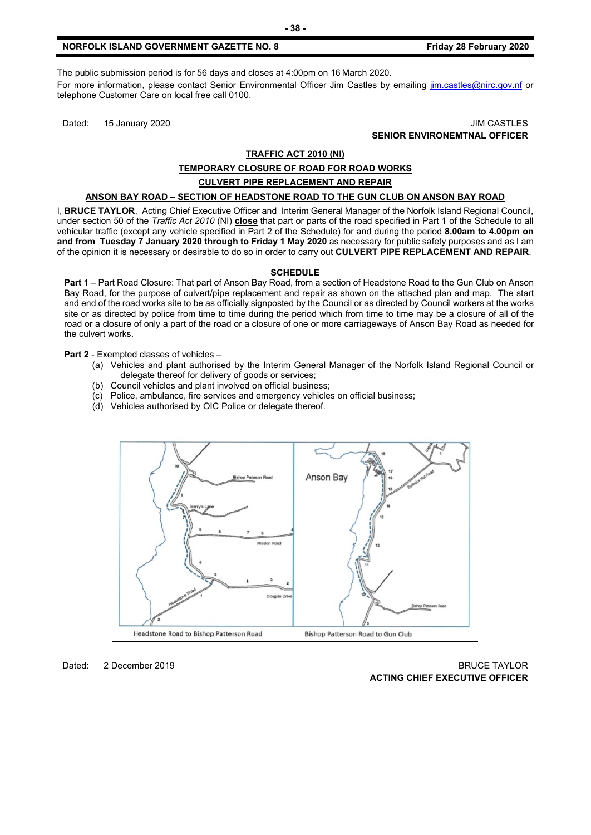The public submission period is for 56 days and closes at 4:00pm on 16 March 2020. For more information, please contact Senior Environmental Officer Jim Castles by emailing *im.castles@nirc.gov.nf* or telephone Customer Care on local free call 0100.

Dated: 15 January 2020 JIM CASTLES **SENIOR ENVIRONEMTNAL OFFICER**

#### **TRAFFIC ACT 2010 (NI)**

# **TEMPORARY CLOSURE OF ROAD FOR ROAD WORKS**

#### **CULVERT PIPE REPLACEMENT AND REPAIR**

### **ANSON BAY ROAD – SECTION OF HEADSTONE ROAD TO THE GUN CLUB ON ANSON BAY ROAD**

I, **BRUCE TAYLOR**, Acting Chief Executive Officer and Interim General Manager of the Norfolk Island Regional Council, under section 50 of the *Traffic Act 2010* (NI) **close** that part or parts of the road specified in Part 1 of the Schedule to all vehicular traffic (except any vehicle specified in Part 2 of the Schedule) for and during the period **8.00am to 4.00pm on and from Tuesday 7 January 2020 through to Friday 1 May 2020** as necessary for public safety purposes and as I am of the opinion it is necessary or desirable to do so in order to carry out **CULVERT PIPE REPLACEMENT AND REPAIR**.

#### **SCHEDULE**

**Part 1** – Part Road Closure: That part of Anson Bay Road, from a section of Headstone Road to the Gun Club on Anson Bay Road, for the purpose of culvert/pipe replacement and repair as shown on the attached plan and map. The start and end of the road works site to be as officially signposted by the Council or as directed by Council workers at the works site or as directed by police from time to time during the period which from time to time may be a closure of all of the road or a closure of only a part of the road or a closure of one or more carriageways of Anson Bay Road as needed for the culvert works.

**Part 2** - Exempted classes of vehicles –

- (a) Vehicles and plant authorised by the Interim General Manager of the Norfolk Island Regional Council or delegate thereof for delivery of goods or services;
- (b) Council vehicles and plant involved on official business;
- (c) Police, ambulance, fire services and emergency vehicles on official business;
- (d) Vehicles authorised by OIC Police or delegate thereof.



#### Dated: 2 December 2019 BRUCE TAYLOR **ACTING CHIEF EXECUTIVE OFFICER**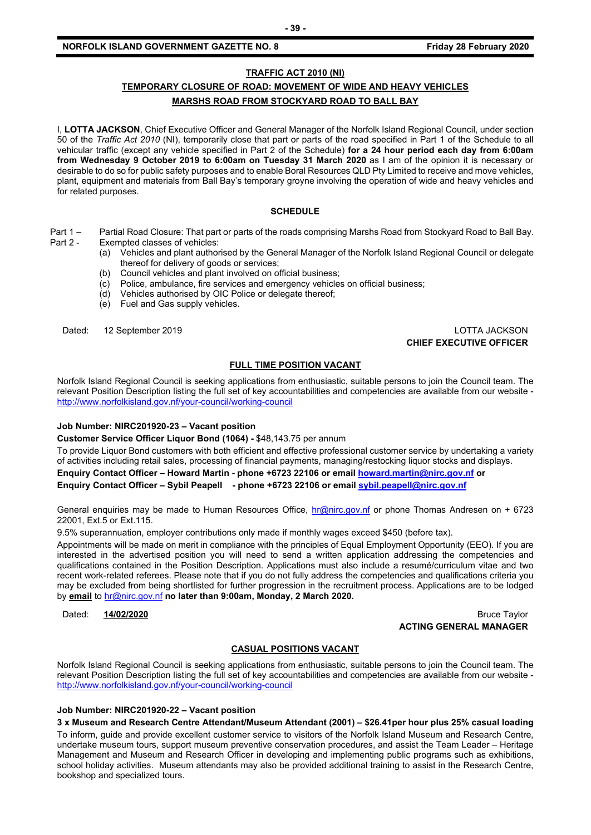#### **NORFOLK ISLAND GOVERNMENT GAZETTE NO. 8 Friday 28 February 2020**

### **TRAFFIC ACT 2010 (NI)**

## **TEMPORARY CLOSURE OF ROAD: MOVEMENT OF WIDE AND HEAVY VEHICLES MARSHS ROAD FROM STOCKYARD ROAD TO BALL BAY**

I, **LOTTA JACKSON**, Chief Executive Officer and General Manager of the Norfolk Island Regional Council, under section 50 of the *Traffic Act 2010* (NI), temporarily close that part or parts of the road specified in Part 1 of the Schedule to all vehicular traffic (except any vehicle specified in Part 2 of the Schedule) **for a 24 hour period each day from 6:00am from Wednesday 9 October 2019 to 6:00am on Tuesday 31 March 2020** as I am of the opinion it is necessary or desirable to do so for public safety purposes and to enable Boral Resources QLD Pty Limited to receive and move vehicles, plant, equipment and materials from Ball Bay's temporary groyne involving the operation of wide and heavy vehicles and for related purposes.

#### **SCHEDULE**

- Part 1 Partial Road Closure: That part or parts of the roads comprising Marshs Road from Stockyard Road to Ball Bay.<br>Part 2 Exempted classes of vehicles: Exempted classes of vehicles:
	- (a) Vehicles and plant authorised by the General Manager of the Norfolk Island Regional Council or delegate thereof for delivery of goods or services;
	- (b) Council vehicles and plant involved on official business;
	- (c) Police, ambulance, fire services and emergency vehicles on official business;
	- (d) Vehicles authorised by OIC Police or delegate thereof;
	- (e) Fuel and Gas supply vehicles.

Dated: 12 September 2019 LOTTA JACKSON **CHIEF EXECUTIVE OFFICER**

#### **FULL TIME POSITION VACANT**

Norfolk Island Regional Council is seeking applications from enthusiastic, suitable persons to join the Council team. The relevant Position Description listing the full set of key accountabilities and competencies are available from our website <http://www.norfolkisland.gov.nf/your-council/working-council>

#### **Job Number: NIRC201920-23 – Vacant position**

**Customer Service Officer Liquor Bond (1064) -** \$48,143.75 per annum

To provide Liquor Bond customers with both efficient and effective professional customer service by undertaking a variety of activities including retail sales, processing of financial payments, managing/restocking liquor stocks and displays.

**Enquiry Contact Officer – Howard Martin - phone +6723 22106 or email [howard.martin@nirc.gov.nf](mailto:howard.martin@nirc.gov.nf) or**

**Enquiry Contact Officer – Sybil Peapell - phone +6723 22106 or emai[l sybil.peapell@nirc.gov.nf](mailto:sybil.peapell@nirc.gov.nf)**

General enquiries may be made to Human Resources Office, [hr@nirc.gov.nf](mailto:hr@nirc.gov.nf) or phone Thomas Andresen on + 6723 22001, Ext.5 or Ext.115.

9.5% superannuation, employer contributions only made if monthly wages exceed \$450 (before tax).

Appointments will be made on merit in compliance with the principles of Equal Employment Opportunity (EEO). If you are interested in the advertised position you will need to send a written application addressing the competencies and qualifications contained in the Position Description. Applications must also include a resumé/curriculum vitae and two recent work-related referees. Please note that if you do not fully address the competencies and qualifications criteria you may be excluded from being shortlisted for further progression in the recruitment process. Applications are to be lodged by **email** to [hr@nirc.gov.nf](mailto:hr@nirc.gov.nf) **no later than 9:00am, Monday, 2 March 2020.** 

Dated: **14/02/2020** Bruce Taylor **ACTING GENERAL MANAGER**

#### **CASUAL POSITIONS VACANT**

Norfolk Island Regional Council is seeking applications from enthusiastic, suitable persons to join the Council team. The relevant Position Description listing the full set of key accountabilities and competencies are available from our website <http://www.norfolkisland.gov.nf/your-council/working-council>

#### **Job Number: NIRC201920-22 – Vacant position**

**3 x Museum and Research Centre Attendant/Museum Attendant (2001) – \$26.41per hour plus 25% casual loading** To inform, guide and provide excellent customer service to visitors of the Norfolk Island Museum and Research Centre, undertake museum tours, support museum preventive conservation procedures, and assist the Team Leader – Heritage Management and Museum and Research Officer in developing and implementing public programs such as exhibitions, school holiday activities. Museum attendants may also be provided additional training to assist in the Research Centre, bookshop and specialized tours.